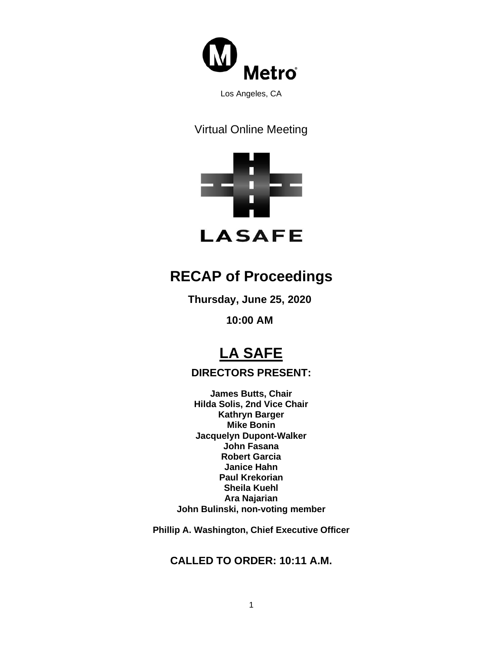

### Virtual Online Meeting



## **RECAP of Proceedings**

**Thursday, June 25, 2020**

**10:00 AM**

# **LA SAFE**

#### **DIRECTORS PRESENT:**

**James Butts, Chair Hilda Solis, 2nd Vice Chair Kathryn Barger Mike Bonin Jacquelyn Dupont-Walker John Fasana Robert Garcia Janice Hahn Paul Krekorian Sheila Kuehl Ara Najarian John Bulinski, non-voting member**

**Phillip A. Washington, Chief Executive Officer**

#### **CALLED TO ORDER: 10:11 A.M.**